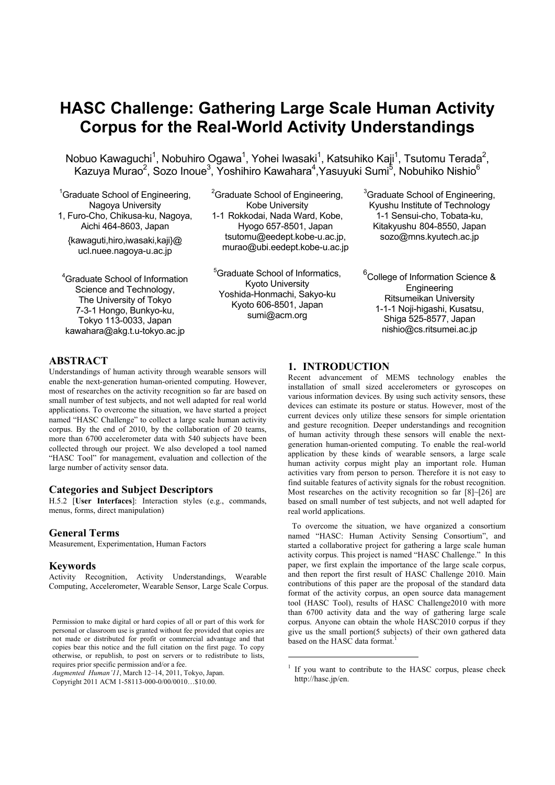# **HASC Challenge: Gathering Large Scale Human Activity Corpus for the Real-World Activity Understandings**

Nobuo Kawaguchi<sup>1</sup>, Nobuhiro Ogawa<sup>1</sup>, Yohei Iwasaki<sup>1</sup>, Katsuhiko Kaji<sup>1</sup>, Tsutomu Terada<sup>2</sup>, Kazuya Murao<sup>2</sup>, Sozo Inoue<sup>3</sup>, Yoshihiro Kawahara<sup>4</sup>,Yasuyuki Sumi<sup>5</sup>, Nobuhiko Nishio<sup>6</sup>

- <sup>1</sup>Graduate School of Engineering, Nagoya University 1, Furo-Cho, Chikusa-ku, Nagoya,
- Aichi 464-8603, Japan {kawaguti,hiro,iwasaki,kaji}@ ucl.nuee.nagoya-u.ac.jp

4 Graduate School of Information Science and Technology, The University of Tokyo 7-3-1 Hongo, Bunkyo-ku, Tokyo 113-0033, Japan kawahara@akg.t.u-tokyo.ac.jp

<sup>2</sup>Graduate School of Engineering, Kobe University 1-1 Rokkodai, Nada Ward, Kobe, Hyogo 657-8501, Japan tsutomu@eedept.kobe-u.ac.jp, murao@ubi.eedept.kobe-u.ac.jp

5 Graduate School of Informatics, Kyoto University Yoshida-Honmachi, Sakyo-ku Kyoto 606-8501, Japan sumi@acm.org

<u>.</u>

<sup>3</sup>Graduate School of Engineering, Kyushu Institute of Technology 1-1 Sensui-cho, Tobata-ku, Kitakyushu 804-8550, Japan sozo@mns.kyutech.ac.jp

<sup>6</sup>College of Information Science & **Engineering** Ritsumeikan University 1-1-1 Noji-higashi, Kusatsu, Shiga 525-8577, Japan nishio@cs.ritsumei.ac.jp

# **ABSTRACT**

Understandings of human activity through wearable sensors will enable the next-generation human-oriented computing. However, most of researches on the activity recognition so far are based on small number of test subjects, and not well adapted for real world applications. To overcome the situation, we have started a project named "HASC Challenge" to collect a large scale human activity corpus. By the end of 2010, by the collaboration of 20 teams, more than 6700 accelerometer data with 540 subjects have been collected through our project. We also developed a tool named "HASC Tool" for management, evaluation and collection of the large number of activity sensor data.

#### **Categories and Subject Descriptors**

H.5.2 [**User Interfaces**]: Interaction styles (e.g., commands, menus, forms, direct manipulation)

#### **General Terms**

Measurement, Experimentation, Human Factors

#### **Keywords**

Activity Recognition, Activity Understandings, Wearable Computing, Accelerometer, Wearable Sensor, Large Scale Corpus.

*Augmented Human'11*, March 12–14, 2011, Tokyo, Japan.

Copyright 2011 ACM 1-58113-000-0/00/0010…\$10.00.

# **1. INTRODUCTION**

Recent advancement of MEMS technology enables the installation of small sized accelerometers or gyroscopes on various information devices. By using such activity sensors, these devices can estimate its posture or status. However, most of the current devices only utilize these sensors for simple orientation and gesture recognition. Deeper understandings and recognition of human activity through these sensors will enable the nextgeneration human-oriented computing. To enable the real-world application by these kinds of wearable sensors, a large scale human activity corpus might play an important role. Human activities vary from person to person. Therefore it is not easy to find suitable features of activity signals for the robust recognition. Most researches on the activity recognition so far [8]~[26] are based on small number of test subjects, and not well adapted for real world applications.

To overcome the situation, we have organized a consortium named "HASC: Human Activity Sensing Consortium", and started a collaborative project for gathering a large scale human activity corpus. This project is named "HASC Challenge." In this paper, we first explain the importance of the large scale corpus, and then report the first result of HASC Challenge 2010. Main contributions of this paper are the proposal of the standard data format of the activity corpus, an open source data management tool (HASC Tool), results of HASC Challenge2010 with more than 6700 activity data and the way of gathering large scale corpus. Anyone can obtain the whole HASC2010 corpus if they give us the small portion(5 subjects) of their own gathered data based on the HASC data format.<sup>1</sup>

Permission to make digital or hard copies of all or part of this work for personal or classroom use is granted without fee provided that copies are not made or distributed for profit or commercial advantage and that copies bear this notice and the full citation on the first page. To copy otherwise, or republish, to post on servers or to redistribute to lists, requires prior specific permission and/or a fee.

<sup>&</sup>lt;sup>1</sup> If you want to contribute to the HASC corpus, please check http://hasc.jp/en.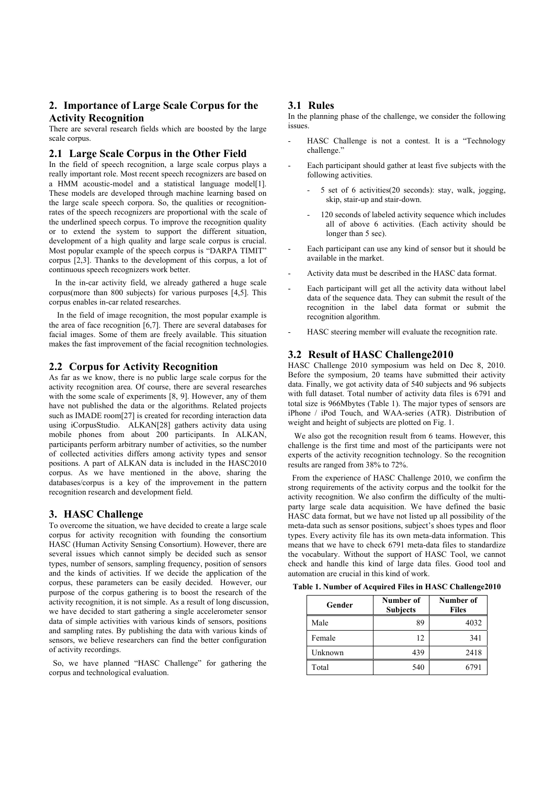# **2. Importance of Large Scale Corpus for the Activity Recognition**

There are several research fields which are boosted by the large scale corpus.

#### **2.1 Large Scale Corpus in the Other Field**

In the field of speech recognition, a large scale corpus plays a really important role. Most recent speech recognizers are based on a HMM acoustic-model and a statistical language model[1]. These models are developed through machine learning based on the large scale speech corpora. So, the qualities or recognitionrates of the speech recognizers are proportional with the scale of the underlined speech corpus. To improve the recognition quality or to extend the system to support the different situation, development of a high quality and large scale corpus is crucial. Most popular example of the speech corpus is "DARPA TIMIT" corpus [2,3]. Thanks to the development of this corpus, a lot of continuous speech recognizers work better.

 In the in-car activity field, we already gathered a huge scale corpus(more than 800 subjects) for various purposes [4,5]. This corpus enables in-car related researches.

In the field of image recognition, the most popular example is the area of face recognition [6,7]. There are several databases for facial images. Some of them are freely available. This situation makes the fast improvement of the facial recognition technologies.

## **2.2 Corpus for Activity Recognition**

As far as we know, there is no public large scale corpus for the activity recognition area. Of course, there are several researches with the some scale of experiments [8, 9]. However, any of them have not published the data or the algorithms. Related projects such as IMADE room[27] is created for recording interaction data using iCorpusStudio. ALKAN[28] gathers activity data using mobile phones from about 200 participants. In ALKAN, participants perform arbitrary number of activities, so the number of collected activities differs among activity types and sensor positions. A part of ALKAN data is included in the HASC2010 corpus. As we have mentioned in the above, sharing the databases/corpus is a key of the improvement in the pattern recognition research and development field.

#### **3. HASC Challenge**

To overcome the situation, we have decided to create a large scale corpus for activity recognition with founding the consortium HASC (Human Activity Sensing Consortium). However, there are several issues which cannot simply be decided such as sensor types, number of sensors, sampling frequency, position of sensors and the kinds of activities. If we decide the application of the corpus, these parameters can be easily decided. However, our purpose of the corpus gathering is to boost the research of the activity recognition, it is not simple. As a result of long discussion, we have decided to start gathering a single accelerometer sensor data of simple activities with various kinds of sensors, positions and sampling rates. By publishing the data with various kinds of sensors, we believe researchers can find the better configuration of activity recordings.

 So, we have planned "HASC Challenge" for gathering the corpus and technological evaluation.

#### **3.1 Rules**

In the planning phase of the challenge, we consider the following issues.

- HASC Challenge is not a contest. It is a "Technology challenge."
- Each participant should gather at least five subjects with the following activities.
	- 5 set of 6 activities(20 seconds): stay, walk, jogging, skip, stair-up and stair-down.
	- 120 seconds of labeled activity sequence which includes all of above 6 activities. (Each activity should be longer than 5 sec).
- Each participant can use any kind of sensor but it should be available in the market.
- Activity data must be described in the HASC data format.
- Each participant will get all the activity data without label data of the sequence data. They can submit the result of the recognition in the label data format or submit the recognition algorithm.
- HASC steering member will evaluate the recognition rate.

## **3.2 Result of HASC Challenge2010**

HASC Challenge 2010 symposium was held on Dec 8, 2010. Before the symposium, 20 teams have submitted their activity data. Finally, we got activity data of 540 subjects and 96 subjects with full dataset. Total number of activity data files is 6791 and total size is 966Mbytes (Table 1). The major types of sensors are iPhone / iPod Touch, and WAA-series (ATR). Distribution of weight and height of subjects are plotted on Fig. 1.

We also got the recognition result from 6 teams. However, this challenge is the first time and most of the participants were not experts of the activity recognition technology. So the recognition results are ranged from 38% to 72%.

 From the experience of HASC Challenge 2010, we confirm the strong requirements of the activity corpus and the toolkit for the activity recognition. We also confirm the difficulty of the multiparty large scale data acquisition. We have defined the basic HASC data format, but we have not listed up all possibility of the meta-data such as sensor positions, subject's shoes types and floor types. Every activity file has its own meta-data information. This means that we have to check 6791 meta-data files to standardize the vocabulary. Without the support of HASC Tool, we cannot check and handle this kind of large data files. Good tool and automation are crucial in this kind of work.

**Table 1. Number of Acquired Files in HASC Challenge2010** 

| Gender  | Number of<br><b>Subjects</b> | Number of<br><b>Files</b> |
|---------|------------------------------|---------------------------|
| Male    | 89                           | 4032                      |
| Female  | 12                           | 341                       |
| Unknown | 439                          | 2418                      |
| Total   | 540                          | 6791                      |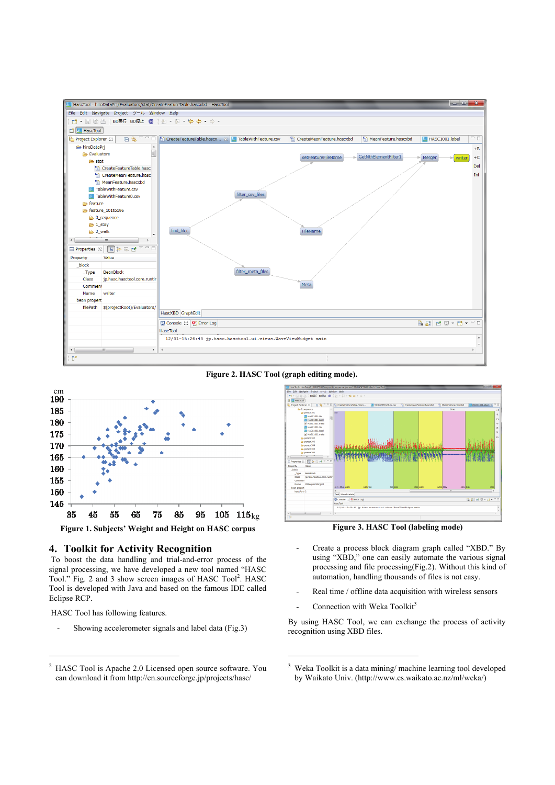

#### **Figure 2. HASC Tool (graph editing mode).**

1



#### **4. Toolkit for Activity Recognition**

 To boost the data handling and trial-and-error process of the signal processing, we have developed a new tool named "HASC Tool." Fig. 2 and 3 show screen images of HASC Tool<sup>2</sup>. HASC Tool is developed with Java and based on the famous IDE called Eclipse RCP.

HASC Tool has following features.

1

Showing accelerometer signals and label data (Fig.3)



**Figure 3. HASC Tool (labeling mode)** 

- Create a process block diagram graph called "XBD." By using "XBD," one can easily automate the various signal processing and file processing(Fig.2). Without this kind of automation, handling thousands of files is not easy.
- Real time / offline data acquisition with wireless sensors
- Connection with Weka Toolkit<sup>3</sup>

By using HASC Tool, we can exchange the process of activity recognition using XBD files.

<sup>2</sup> HASC Tool is Apache 2.0 Licensed open source software. You can download it from http://en.sourceforge.jp/projects/hasc/

<sup>3</sup> Weka Toolkit is a data mining/ machine learning tool developed by Waikato Univ. (http://www.cs.waikato.ac.nz/ml/weka/)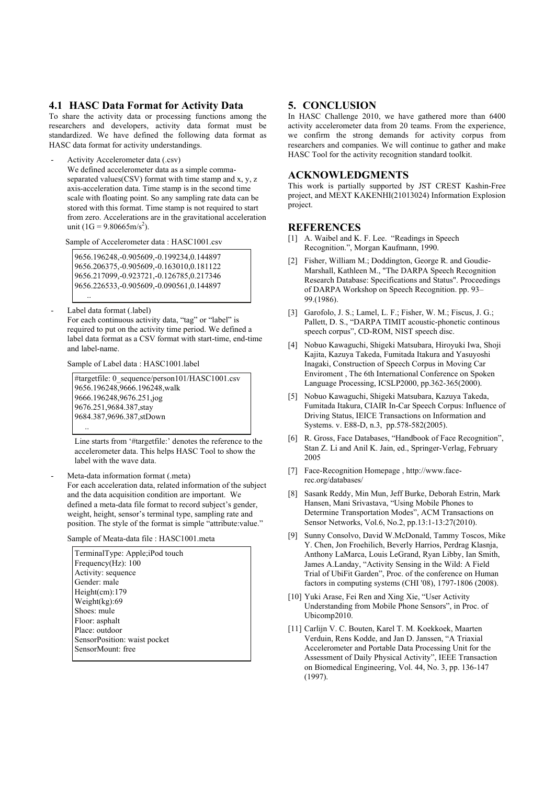#### **4.1 HASC Data Format for Activity Data**

To share the activity data or processing functions among the researchers and developers, activity data format must be standardized. We have defined the following data format as HASC data format for activity understandings.

Activity Accelerometer data (.csv)

We defined accelerometer data as a simple commaseparated values(CSV) format with time stamp and x, y, z axis-acceleration data. Time stamp is in the second time scale with floating point. So any sampling rate data can be stored with this format. Time stamp is not required to start from zero. Accelerations are in the gravitational acceleration unit (1G = 9.80665m/s<sup>2</sup>).

Sample of Accelerometer data : HASC1001.csv

9656.196248,-0.905609,-0.199234,0.144897 9656.206375,-0.905609,-0.163010,0.181122 9656.217099,-0.923721,-0.126785,0.217346 9656.226533,-0.905609,-0.090561,0.144897 ..

Label data format (.label)

For each continuous activity data, "tag" or "label" is required to put on the activity time period. We defined a label data format as a CSV format with start-time, end-time and label-name.

Sample of Label data : HASC1001.label

#targetfile: 0\_sequence/person101/HASC1001.csv 9656.196248,9666.196248,walk 9666.196248,9676.251,jog 9676.251,9684.387,stay 9684.387,9696.387,stDown ..

Line starts from '#targetfile:' denotes the reference to the accelerometer data. This helps HASC Tool to show the label with the wave data.

Meta-data information format (.meta)

For each acceleration data, related information of the subject and the data acquisition condition are important. We defined a meta-data file format to record subject's gender, weight, height, sensor's terminal type, sampling rate and position. The style of the format is simple "attribute:value."

Sample of Meata-data file : HASC1001.meta

| TerminalType: Apple; iPod touch |
|---------------------------------|
| Frequency $(Hz)$ : 100          |
| Activity: sequence              |
| Gender: male                    |
| Height(cm):179                  |
| Weight $(kg)$ :69               |
| Shoes: mule                     |
| Floor: asphalt                  |
| Place: outdoor                  |
| SensorPosition: waist pocket    |
| SensorMount: free               |
|                                 |

## **5. CONCLUSION**

In HASC Challenge 2010, we have gathered more than 6400 activity accelerometer data from 20 teams. From the experience, we confirm the strong demands for activity corpus from researchers and companies. We will continue to gather and make HASC Tool for the activity recognition standard toolkit.

#### **ACKNOWLEDGMENTS**

This work is partially supported by JST CREST Kashin-Free project, and MEXT KAKENHI(21013024) Information Explosion project.

#### **REFERENCES**

- [1] A. Waibel and K. F. Lee. "Readings in Speech Recognition.", Morgan Kaufmann, 1990.
- [2] Fisher, William M.; Doddington, George R. and Goudie-Marshall, Kathleen M., "The DARPA Speech Recognition Research Database: Specifications and Status". Proceedings of DARPA Workshop on Speech Recognition. pp. 93– 99.(1986).
- [3] Garofolo, J. S.; Lamel, L. F.; Fisher, W. M.; Fiscus, J. G.; Pallett, D. S., "DARPA TIMIT acoustic-phonetic continous speech corpus", CD-ROM, NIST speech disc.
- [4] Nobuo Kawaguchi, Shigeki Matsubara, Hiroyuki Iwa, Shoji Kajita, Kazuya Takeda, Fumitada Itakura and Yasuyoshi Inagaki, Construction of Speech Corpus in Moving Car Enviroment , The 6th International Conference on Spoken Language Processing, ICSLP2000, pp.362-365(2000).
- [5] Nobuo Kawaguchi, Shigeki Matsubara, Kazuya Takeda, Fumitada Itakura, CIAIR In-Car Speech Corpus: Influence of Driving Status, IEICE Transactions on Information and Systems. v. E88-D, n.3, pp.578-582(2005).
- [6] R. Gross, Face Databases, "Handbook of Face Recognition", Stan Z. Li and Anil K. Jain, ed., Springer-Verlag, February 2005
- [7] Face-Recognition Homepage , http://www.facerec.org/databases/
- [8] Sasank Reddy, Min Mun, Jeff Burke, Deborah Estrin, Mark Hansen, Mani Srivastava, "Using Mobile Phones to Determine Transportation Modes", ACM Transactions on Sensor Networks, Vol.6, No.2, pp.13:1-13:27(2010).
- [9] Sunny Consolvo, David W.McDonald, Tammy Toscos, Mike Y. Chen, Jon Froehilich, Beverly Harrios, Perdrag Klasnja, Anthony LaMarca, Louis LeGrand, Ryan Libby, Ian Smith, James A.Landay, "Activity Sensing in the Wild: A Field Trial of UbiFit Garden", Proc. of the conference on Human factors in computing systems (CHI '08), 1797-1806 (2008).
- [10] Yuki Arase, Fei Ren and Xing Xie, "User Activity Understanding from Mobile Phone Sensors", in Proc. of Ubicomp2010.
- [11] Carlijn V. C. Bouten, Karel T. M. Koekkoek, Maarten Verduin, Rens Kodde, and Jan D. Janssen, "A Triaxial Accelerometer and Portable Data Processing Unit for the Assessment of Daily Physical Activity", IEEE Transaction on Biomedical Engineering, Vol. 44, No. 3, pp. 136-147 (1997).